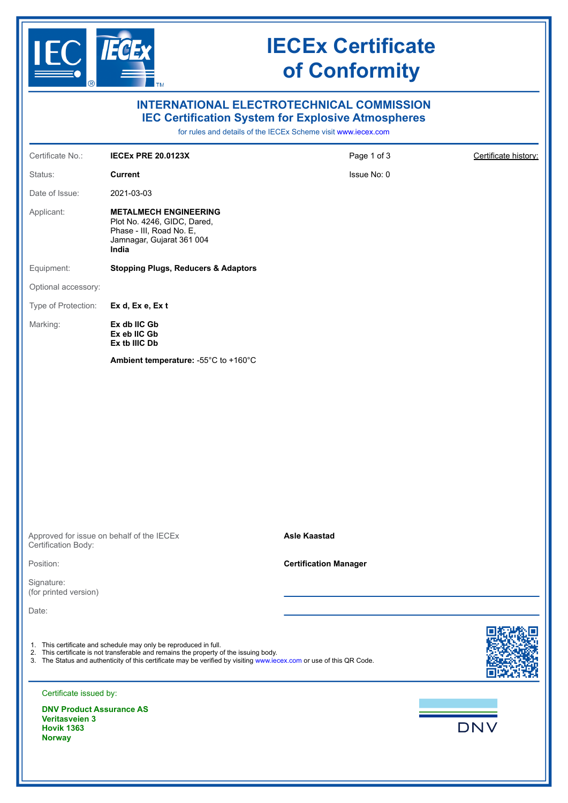

# **IECEx Certificate of Conformity**

| <b>INTERNATIONAL ELECTROTECHNICAL COMMISSION</b><br><b>IEC Certification System for Explosive Atmospheres</b><br>for rules and details of the IECEx Scheme visit www.iecex.com |                                                                                                                                                                                                                                                                                   |                              |                      |
|--------------------------------------------------------------------------------------------------------------------------------------------------------------------------------|-----------------------------------------------------------------------------------------------------------------------------------------------------------------------------------------------------------------------------------------------------------------------------------|------------------------------|----------------------|
| Certificate No.:                                                                                                                                                               | <b>IECEX PRE 20.0123X</b>                                                                                                                                                                                                                                                         | Page 1 of 3                  | Certificate history: |
| Status:                                                                                                                                                                        | <b>Current</b>                                                                                                                                                                                                                                                                    | Issue No: 0                  |                      |
| Date of Issue:                                                                                                                                                                 | 2021-03-03                                                                                                                                                                                                                                                                        |                              |                      |
| Applicant:                                                                                                                                                                     | <b>METALMECH ENGINEERING</b><br>Plot No. 4246, GIDC, Dared,<br>Phase - III, Road No. E,<br>Jamnagar, Gujarat 361 004<br>India                                                                                                                                                     |                              |                      |
| Equipment:                                                                                                                                                                     | <b>Stopping Plugs, Reducers &amp; Adaptors</b>                                                                                                                                                                                                                                    |                              |                      |
| Optional accessory:                                                                                                                                                            |                                                                                                                                                                                                                                                                                   |                              |                      |
| Type of Protection:                                                                                                                                                            | Ex d, Ex e, Ex t                                                                                                                                                                                                                                                                  |                              |                      |
| Marking:                                                                                                                                                                       | Ex db IIC Gb<br>Ex eb IIC Gb<br>Ex tb IIIC Db                                                                                                                                                                                                                                     |                              |                      |
|                                                                                                                                                                                | Ambient temperature: -55°C to +160°C                                                                                                                                                                                                                                              |                              |                      |
|                                                                                                                                                                                |                                                                                                                                                                                                                                                                                   |                              |                      |
| Approved for issue on behalf of the IECEx<br>Certification Body:                                                                                                               |                                                                                                                                                                                                                                                                                   | <b>Asle Kaastad</b>          |                      |
| Position:                                                                                                                                                                      |                                                                                                                                                                                                                                                                                   | <b>Certification Manager</b> |                      |
| Signature:<br>(for printed version)                                                                                                                                            |                                                                                                                                                                                                                                                                                   |                              |                      |
| Date:                                                                                                                                                                          |                                                                                                                                                                                                                                                                                   |                              |                      |
|                                                                                                                                                                                | 1. This certificate and schedule may only be reproduced in full.<br>2. This certificate is not transferable and remains the property of the issuing body.<br>3. The Status and authenticity of this certificate may be verified by visiting www.iecex.com or use of this QR Code. |                              |                      |
| Certificate issued by:                                                                                                                                                         |                                                                                                                                                                                                                                                                                   |                              |                      |
| <b>DNV Product Assurance AS</b><br><b>Veritasveien 3</b><br><b>Hovik 1363</b><br><b>Norway</b>                                                                                 |                                                                                                                                                                                                                                                                                   |                              | <b>DNV</b>           |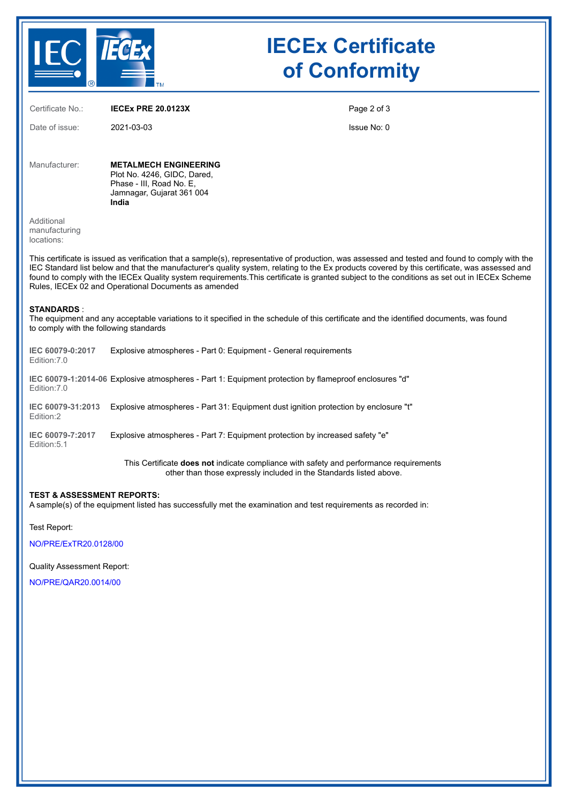

# **IECEx Certificate of Conformity**

Certificate No.: **IECEx PRE 20.0123X** Date of issue: 2021-03-03 Page 2 of 3 Issue No: 0 Manufacturer: **METALMECH ENGINEERING** Plot No. 4246, GIDC, Dared, Phase - III, Road No. E, Jamnagar, Gujarat 361 004 **India** Additional manufacturing locations: This certificate is issued as verification that a sample(s), representative of production, was assessed and tested and found to comply with the IEC Standard list below and that the manufacturer's quality system, relating to the Ex products covered by this certificate, was assessed and found to comply with the IECEx Quality system requirements.This certificate is granted subject to the conditions as set out in IECEx Scheme Rules, IECEx 02 and Operational Documents as amended **STANDARDS** : The equipment and any acceptable variations to it specified in the schedule of this certificate and the identified documents, was found to comply with the following standards **IEC 60079-0:2017** Edition:7.0 Explosive atmospheres - Part 0: Equipment - General requirements **IEC 60079-1:2014-06** Explosive atmospheres - Part 1: Equipment protection by flameproof enclosures "d" Edition:7.0 **IEC 60079-31:2013** Explosive atmospheres - Part 31: Equipment dust ignition protection by enclosure "t" Edition:2 **IEC 60079-7:2017** Edition:5.1 Explosive atmospheres - Part 7: Equipment protection by increased safety "e" This Certificate **does not** indicate compliance with safety and performance requirements other than those expressly included in the Standards listed above.

## **TEST & ASSESSMENT REPORTS:**

A sample(s) of the equipment listed has successfully met the examination and test requirements as recorded in:

Test Report:

[NO/PRE/ExTR20.0128/00](https://www.iecex-certs.com/deliverables/REPORT/69796/view)

#### Quality Assessment Report:

[NO/PRE/QAR20.0014/00](https://www.iecex-certs.com/deliverables/REPORT/69167/view)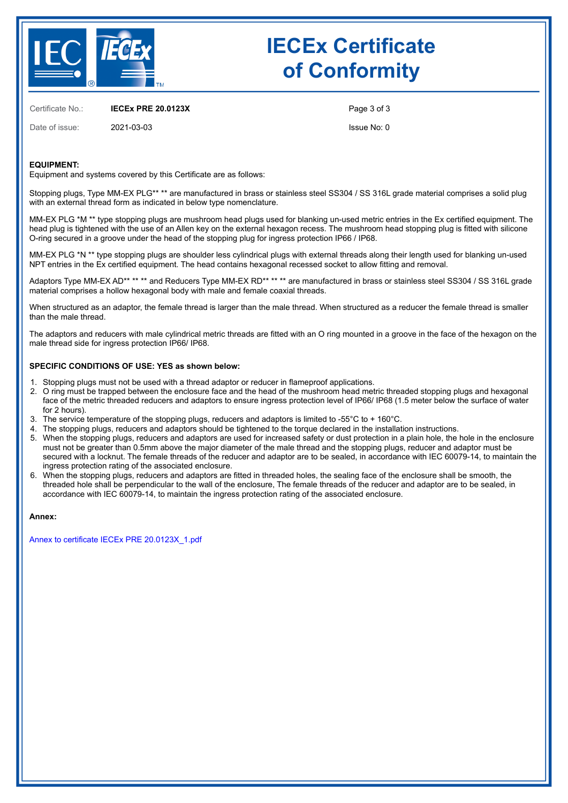

# **IECEx Certificate of Conformity**

Certificate No.: **IECEx PRE 20.0123X**

Date of issue: 2021-03-03

Page 3 of 3

Issue No: 0

### **EQUIPMENT:**

Equipment and systems covered by this Certificate are as follows:

Stopping plugs, Type MM-EX PLG<sup>\*\*</sup> \*\* are manufactured in brass or stainless steel SS304 / SS 316L grade material comprises a solid plug with an external thread form as indicated in below type nomenclature.

MM-EX PLG \*M \*\* type stopping plugs are mushroom head plugs used for blanking un-used metric entries in the Ex certified equipment. The head plug is tightened with the use of an Allen key on the external hexagon recess. The mushroom head stopping plug is fitted with silicone O-ring secured in a groove under the head of the stopping plug for ingress protection IP66 / IP68.

MM-EX PLG \*N \*\* type stopping plugs are shoulder less cylindrical plugs with external threads along their length used for blanking un-used NPT entries in the Ex certified equipment. The head contains hexagonal recessed socket to allow fitting and removal.

Adaptors Type MM-EX AD<sup>\*\*</sup> \*\* \*\* and Reducers Type MM-EX RD<sup>\*\*</sup> \*\* \*\* are manufactured in brass or stainless steel SS304 / SS 316L grade material comprises a hollow hexagonal body with male and female coaxial threads.

When structured as an adaptor, the female thread is larger than the male thread. When structured as a reducer the female thread is smaller than the male thread.

The adaptors and reducers with male cylindrical metric threads are fitted with an O ring mounted in a groove in the face of the hexagon on the male thread side for ingress protection IP66/ IP68.

#### **SPECIFIC CONDITIONS OF USE: YES as shown below:**

- 1. Stopping plugs must not be used with a thread adaptor or reducer in flameproof applications.
- 2. O ring must be trapped between the enclosure face and the head of the mushroom head metric threaded stopping plugs and hexagonal face of the metric threaded reducers and adaptors to ensure ingress protection level of IP66/ IP68 (1.5 meter below the surface of water for 2 hours).
- 3. The service temperature of the stopping plugs, reducers and adaptors is limited to -55°C to + 160°C.
- 4. The stopping plugs, reducers and adaptors should be tightened to the torque declared in the installation instructions. 5. When the stopping plugs, reducers and adaptors are used for increased safety or dust protection in a plain hole, the hole in the enclosure must not be greater than 0.5mm above the major diameter of the male thread and the stopping plugs, reducer and adaptor must be secured with a locknut. The female threads of the reducer and adaptor are to be sealed, in accordance with IEC 60079-14, to maintain the ingress protection rating of the associated enclosure.
- 6. When the stopping plugs, reducers and adaptors are fitted in threaded holes, the sealing face of the enclosure shall be smooth, the threaded hole shall be perpendicular to the wall of the enclosure, The female threads of the reducer and adaptor are to be sealed, in accordance with IEC 60079-14, to maintain the ingress protection rating of the associated enclosure.

#### **Annex:**

[Annex to certificate IECEx PRE 20.0123X\\_1.pdf](https://www.iecex-certs.com/deliverables/CERT/51307/view)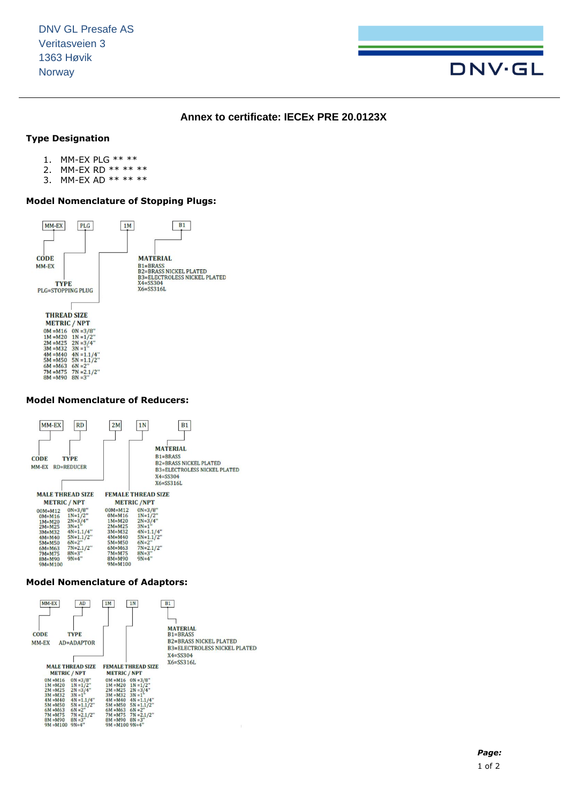

## **Annex to certificate: IECEx PRE 20.0123X**

## **Type Designation**

- 1. MM-EX PLG \*\* \*\*
- 2. MM-EX RD \*\* \*\* \*\*
- 3. MM-EX AD \*\* \*\* \*\*

# **Model Nomenclature of Stopping Plugs:**



# **Model Nomenclature of Reducers:**



#### **Model Nomenclature of Adaptors:**